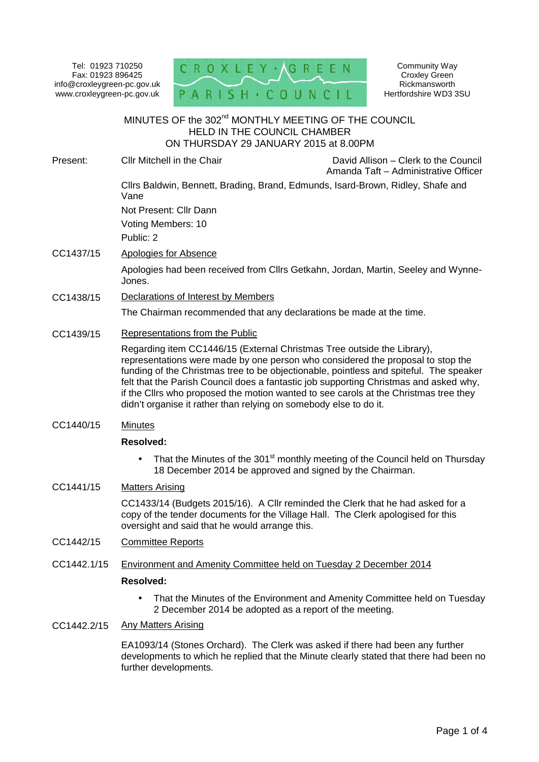Tel: 01923 710250 Fax: 01923 896425 info@croxleygreen-pc.gov.uk www.croxleygreen-pc.gov.uk PARI



Community Way Croxley Green Rickmansworth Hertfordshire WD3 3SU

# MINUTES OF the 302 $^{\mathsf{nd}}$  MONTHLY MEETING OF THE COUNCIL HELD IN THE COUNCIL CHAMBER ON THURSDAY 29 JANUARY 2015 at 8.00PM Present: Cllr Mitchell in the Chair David Allison – Clerk to the Council Amanda Taft – Administrative Officer Cllrs Baldwin, Bennett, Brading, Brand, Edmunds, Isard-Brown, Ridley, Shafe and Vane Not Present: Cllr Dann Voting Members: 10 Public: 2 CC1437/15 Apologies for Absence Apologies had been received from Cllrs Getkahn, Jordan, Martin, Seeley and Wynne- Jones. CC1438/15 Declarations of Interest by Members The Chairman recommended that any declarations be made at the time. CC1439/15 Representations from the Public Regarding item CC1446/15 (External Christmas Tree outside the Library), representations were made by one person who considered the proposal to stop the funding of the Christmas tree to be objectionable, pointless and spiteful. The speaker felt that the Parish Council does a fantastic job supporting Christmas and asked why, if the Cllrs who proposed the motion wanted to see carols at the Christmas tree they didn't organise it rather than relying on somebody else to do it. CC1440/15 Minutes **Resolved:** • That the Minutes of the 301<sup>st</sup> monthly meeting of the Council held on Thursday 18 December 2014 be approved and signed by the Chairman. CC1441/15 Matters Arising CC1433/14 (Budgets 2015/16). A Cllr reminded the Clerk that he had asked for a copy of the tender documents for the Village Hall. The Clerk apologised for this oversight and said that he would arrange this. CC1442/15 Committee Reports

CC1442.1/15 Environment and Amenity Committee held on Tuesday 2 December 2014

# **Resolved:**

- That the Minutes of the Environment and Amenity Committee held on Tuesday 2 December 2014 be adopted as a report of the meeting.
- CC1442.2/15 Any Matters Arising

EA1093/14 (Stones Orchard). The Clerk was asked if there had been any further developments to which he replied that the Minute clearly stated that there had been no further developments.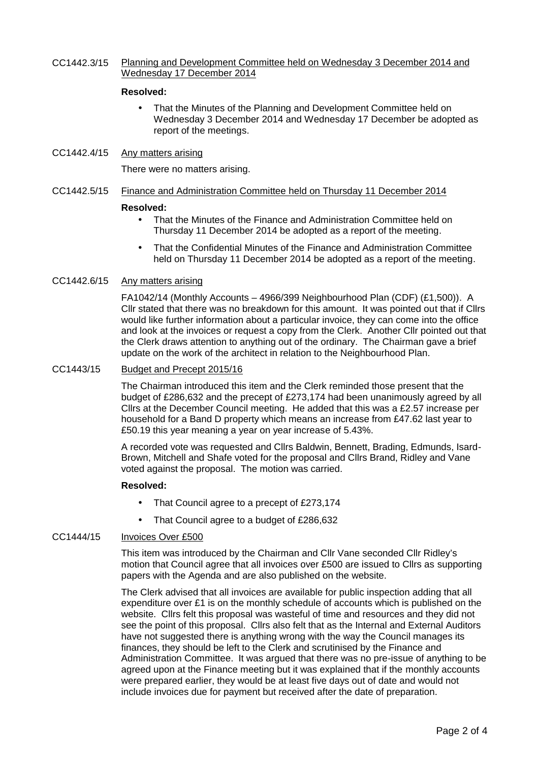CC1442.3/15 Planning and Development Committee held on Wednesday 3 December 2014 and Wednesday 17 December 2014

### **Resolved:**

- That the Minutes of the Planning and Development Committee held on Wednesday 3 December 2014 and Wednesday 17 December be adopted as report of the meetings.
- CC1442.4/15 Any matters arising

There were no matters arising.

CC1442.5/15 Finance and Administration Committee held on Thursday 11 December 2014

#### **Resolved:**

- That the Minutes of the Finance and Administration Committee held on Thursday 11 December 2014 be adopted as a report of the meeting.
- That the Confidential Minutes of the Finance and Administration Committee held on Thursday 11 December 2014 be adopted as a report of the meeting.

### CC1442.6/15 Any matters arising

FA1042/14 (Monthly Accounts – 4966/399 Neighbourhood Plan (CDF) (£1,500)). A Cllr stated that there was no breakdown for this amount. It was pointed out that if Cllrs would like further information about a particular invoice, they can come into the office and look at the invoices or request a copy from the Clerk. Another Cllr pointed out that the Clerk draws attention to anything out of the ordinary. The Chairman gave a brief update on the work of the architect in relation to the Neighbourhood Plan.

#### CC1443/15 Budget and Precept 2015/16

The Chairman introduced this item and the Clerk reminded those present that the budget of £286,632 and the precept of £273,174 had been unanimously agreed by all Cllrs at the December Council meeting. He added that this was a £2.57 increase per household for a Band D property which means an increase from £47.62 last year to £50.19 this year meaning a year on year increase of 5.43%.

A recorded vote was requested and Cllrs Baldwin, Bennett, Brading, Edmunds, Isard- Brown, Mitchell and Shafe voted for the proposal and Cllrs Brand, Ridley and Vane voted against the proposal. The motion was carried.

#### **Resolved:**

- That Council agree to a precept of £273,174
- That Council agree to a budget of £286,632

#### CC1444/15 Invoices Over £500

This item was introduced by the Chairman and Cllr Vane seconded Cllr Ridley's motion that Council agree that all invoices over £500 are issued to Cllrs as supporting papers with the Agenda and are also published on the website.

The Clerk advised that all invoices are available for public inspection adding that all expenditure over £1 is on the monthly schedule of accounts which is published on the website. Cllrs felt this proposal was wasteful of time and resources and they did not see the point of this proposal. Cllrs also felt that as the Internal and External Auditors have not suggested there is anything wrong with the way the Council manages its finances, they should be left to the Clerk and scrutinised by the Finance and Administration Committee. It was argued that there was no pre-issue of anything to be agreed upon at the Finance meeting but it was explained that if the monthly accounts were prepared earlier, they would be at least five days out of date and would not include invoices due for payment but received after the date of preparation.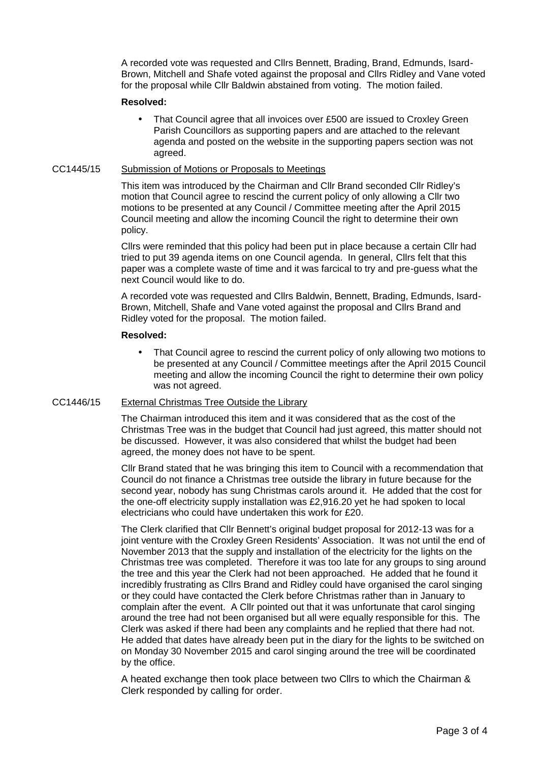A recorded vote was requested and Cllrs Bennett, Brading, Brand, Edmunds, Isard- Brown, Mitchell and Shafe voted against the proposal and Cllrs Ridley and Vane voted for the proposal while Cllr Baldwin abstained from voting. The motion failed.

#### **Resolved:**

 That Council agree that all invoices over £500 are issued to Croxley Green Parish Councillors as supporting papers and are attached to the relevant agenda and posted on the website in the supporting papers section was not agreed.

# CC1445/15 Submission of Motions or Proposals to Meetings

This item was introduced by the Chairman and Cllr Brand seconded Cllr Ridley's motion that Council agree to rescind the current policy of only allowing a Cllr two motions to be presented at any Council / Committee meeting after the April 2015 Council meeting and allow the incoming Council the right to determine their own policy.

Cllrs were reminded that this policy had been put in place because a certain Cllr had tried to put 39 agenda items on one Council agenda. In general, Cllrs felt that this paper was a complete waste of time and it was farcical to try and pre-guess what the next Council would like to do.

A recorded vote was requested and Cllrs Baldwin, Bennett, Brading, Edmunds, Isard- Brown, Mitchell, Shafe and Vane voted against the proposal and Cllrs Brand and Ridley voted for the proposal. The motion failed.

### **Resolved:**

 That Council agree to rescind the current policy of only allowing two motions to be presented at any Council / Committee meetings after the April 2015 Council meeting and allow the incoming Council the right to determine their own policy was not agreed.

# CC1446/15 External Christmas Tree Outside the Library

The Chairman introduced this item and it was considered that as the cost of the Christmas Tree was in the budget that Council had just agreed, this matter should not be discussed. However, it was also considered that whilst the budget had been agreed, the money does not have to be spent.

Cllr Brand stated that he was bringing this item to Council with a recommendation that Council do not finance a Christmas tree outside the library in future because for the second year, nobody has sung Christmas carols around it. He added that the cost for the one-off electricity supply installation was £2,916.20 yet he had spoken to local electricians who could have undertaken this work for £20.

The Clerk clarified that Cllr Bennett's original budget proposal for 2012-13 was for a joint venture with the Croxley Green Residents' Association. It was not until the end of November 2013 that the supply and installation of the electricity for the lights on the Christmas tree was completed. Therefore it was too late for any groups to sing around the tree and this year the Clerk had not been approached. He added that he found it incredibly frustrating as Cllrs Brand and Ridley could have organised the carol singing or they could have contacted the Clerk before Christmas rather than in January to complain after the event. A Cllr pointed out that it was unfortunate that carol singing around the tree had not been organised but all were equally responsible for this. The Clerk was asked if there had been any complaints and he replied that there had not. He added that dates have already been put in the diary for the lights to be switched on on Monday 30 November 2015 and carol singing around the tree will be coordinated by the office.

A heated exchange then took place between two Cllrs to which the Chairman & Clerk responded by calling for order.